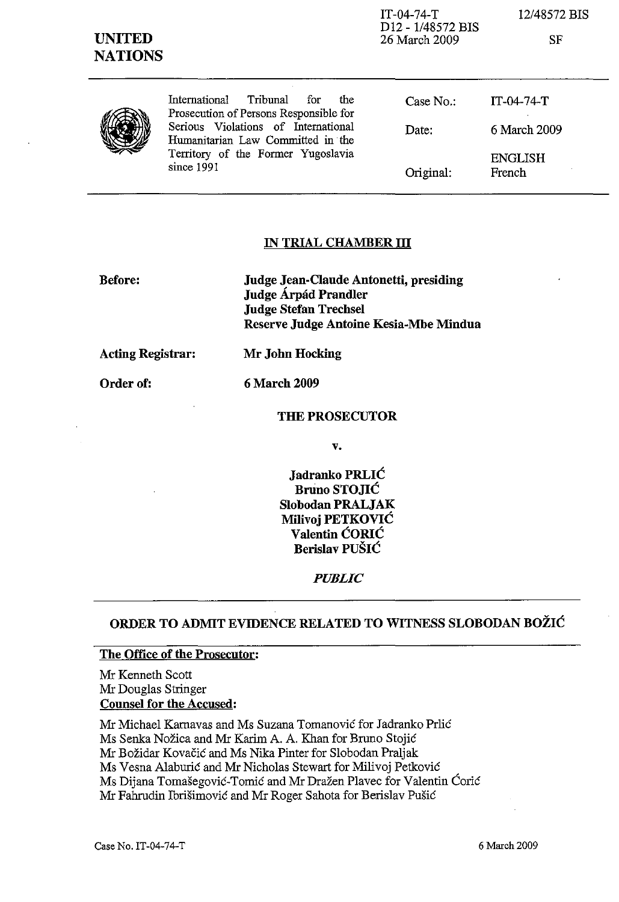| <b>UNITED</b><br><b>NATIONS</b> |                                                                                   | $IT-04-74-T$<br>D <sub>12</sub> - 1/48572 BIS<br>26 March 2009 | 12/48572 BIS<br><b>SF</b> |
|---------------------------------|-----------------------------------------------------------------------------------|----------------------------------------------------------------|---------------------------|
|                                 | Tribunal<br>International<br>the<br>for<br>Prosecution of Persons Responsible for | Case No.:                                                      | $IT-04-74-T$              |
|                                 | Serious Violations of International<br>Humanitarian Law Committed in the          | Date:                                                          | 6 March 2009              |
|                                 | Territory of the Former Yugoslavia<br>since 1991                                  | Original:                                                      | <b>ENGLISH</b><br>French  |

#### **IN TRIAL CHAMBER III**

**Before:** 

**Judge Jean-Claude Antonetti, presiding Judge Árpád Prandler Judge Stefan Trechsel Reserve Judge Antoine Kesia-Mbe Mindua** 

**Acting Registrar: Mr John Hocking** 

Order of: 6 March 2009

#### **THE PROSECUTOR**

**v.** 

**Jadranko** PRLIĆ **Bruno** STOJIĆ **Slobodan PRALJAK Milivoj** PETKOVIĆ **Valentin** ĆORIĆ **Berislav** PUŠIĆ

*PUBLIC* 

## **ORDER TO ADMIT EVIDENCE RELATED TO WITNESS SLOBODAN** BOŽIĆ

### **The Office of the Prosecutor:**

Mr Kenneth Scott Mr Douglas Stringer **Counsel for the Accused:** 

Mr Michael Karnavas and Ms Suzana Tomanović for Jadranko Prlić Ms Senka Nožica and Mr Karim A. A. Khan for Bruno Stojić Mr Božidar Kovačić and Ms Nika Pinter for Slobodan Praljak Ms Vesna Alaburić and Mr Nicholas Stewart for Milivoj Petković Ms Dijana Tomašegović-Tomić and Mr Dražen Plavec for Valentin Ćorić Mr Fahrudin Ibrišimović and Mr Roger Sahota for Berislav Pušić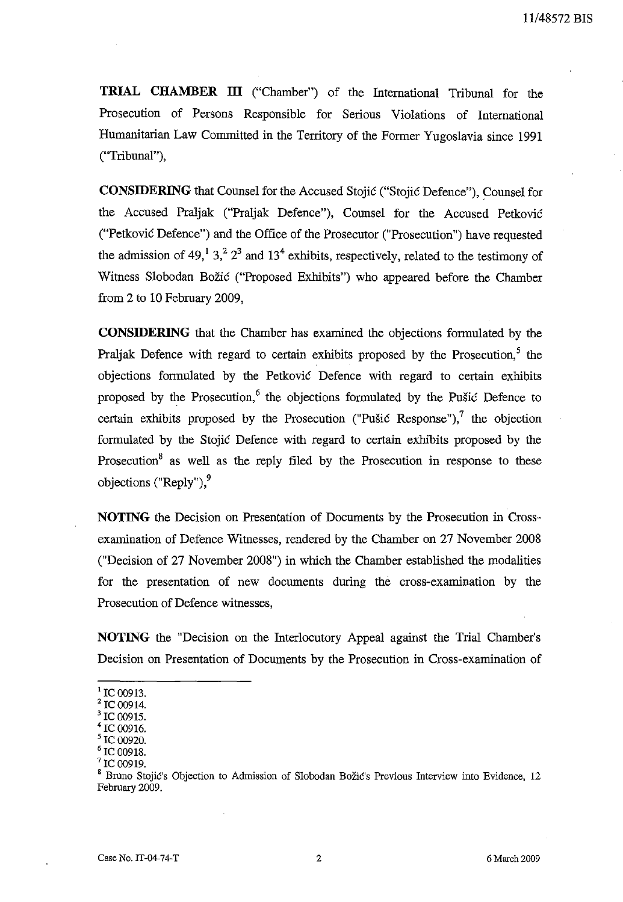**TRIAL CHAMBER ill** ("Chamber") of the Intemational Tribunal for the Prosecution of Persons Responsible for Serious Violations of International Humanitarian Law Committed in the Territory of the Former Yugoslavia since 1991 ("Tribunal"),

**CONSIDERING** that Counsel for the Accused Stojić ("Stojić Defence"), Counsel for the Accused Praljak ("Praljak Defence"), Counsel for the Accused Petković ("Petković Defence") and the Office of the Prosecutor ("Prosecution") have requested the admission of 49,  $\frac{1}{3}$ ,  $\frac{2}{3}$  and  $\frac{13}{4}$  exhibits, respectively, related to the testimony of Witness Slobodan Božić ("Proposed Exhibits") who appeared before the Chamber from 2 to 10 February 2009,

**CONSIDERING** that the Chamber has examined the objections formulated by the Praljak Defence with regard to certain exhibits proposed by the Prosecution.<sup>5</sup> the objections formulated by the Petković Defence with regard to certain exhibits proposed by the Prosecution,<sup>6</sup> the objections formulated by the Pušić Defence to certain exhibits proposed by the Prosecution ("Pušić Response"),  $\frac{1}{1}$  the objection formulated by the Stojić Defence with regard to certain exbibits proposed by the Prosecution<sup>8</sup> as well as the reply filed by the Prosecution in response to these objections ("Reply"), 9

**NOTING** the Decision on Presentation of Documents by the Prosecution in Crossexamination of Defence Witnesses, rendered by the Chamber on 27 November 2008 ("Decision of 27 November 2008") in which the Chamber established the modalities for the presentation of new documents during the cross-examination by the Prosecution of Defence witnesses,

**NOTING** the "Decision on the Interlocutory Appeal against the Trial Chamber's Decision on Presentation of Documents by the Prosecution in Cross-examination of

 $<sup>1</sup>$  IC 00913.</sup>

 $2$  IC 00914.

IC 00915. 4 IC 00916.

IC 00920.

IC 00918.

IC 00919.

<sup>8</sup> Bruno Stojić's Objection to Admission of Slobodan Božić's Previous Interview into Evidence, 12 February 2009.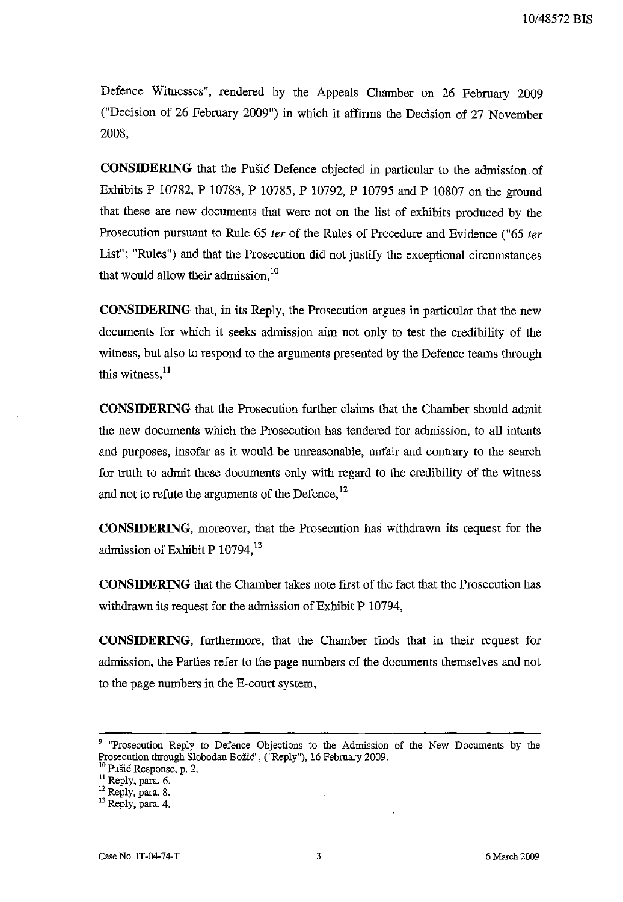Defence Witnesses", rendered by the Appeals Chamber on 26 February 2009 ("Decision of 26 February 2009") in which it affirms the Decision of 27 November 2008,

**CONSIDERING** that the Pušić Defence objected in particular to the admission of Exhibits P 10782, P 10783, P 10785, P 10792, P 10795 and P 10807 on the ground that these are new documents that were not on the list of exhibits produced by the Prosecution pursuant to Rule 65 *ter* of the Rules of Procedure and Evidence ("65 *ter*  List"; "Rules") and that the Prosecution did not justify the exceptional circumstances that would allow their admission.<sup>10</sup>

**CONSIDERING** that, in its Reply, the Prosecution argues in particular that the new documents for which it seeks admission aim not only to test the credibility of the witness, but also to respond to the arguments presented by the Defence teams through this witness, $^{11}$ 

**CONSIDERING** that the Prosecution further claims that the Chamber should admit the new documents which the Prosecution has tendered for admission, to all intents and purposes, insofar as it would be unreasonable, unfair and contrary to the search for truth to admit these documents only with regard to the credibility of the witness and not to refute the arguments of the Defence,<sup>12</sup>

**CONSIDERING,** moreover, that the Prosecution has withdrawn its request for the admission of Exhibit P  $10794$ <sup>13</sup>

**CONSIDERING** that the Chamber takes note first of the fact that the Prosecution has withdrawn its request for the admission of Exhibit P 10794,

**CONSIDERING,** furthermore, that the Chamber finds that in their request for admission, the Parties refer to the page numbers of the documents themselves and not to the page numbers in the E-court system,

<sup>10</sup> Pušić Response, p. 2.

<sup>&</sup>lt;sup>9</sup> "Prosecution Reply to Defence Objections to the Admission of the New Documents by the Prosecution through Slobodan Božić", (''Reply''), 16 February 2009.

<sup>&</sup>lt;sup>11</sup> Reply, para. 6.

 $^{12}$  Reply, para. 8.

<sup>13</sup> Reply, para. 4.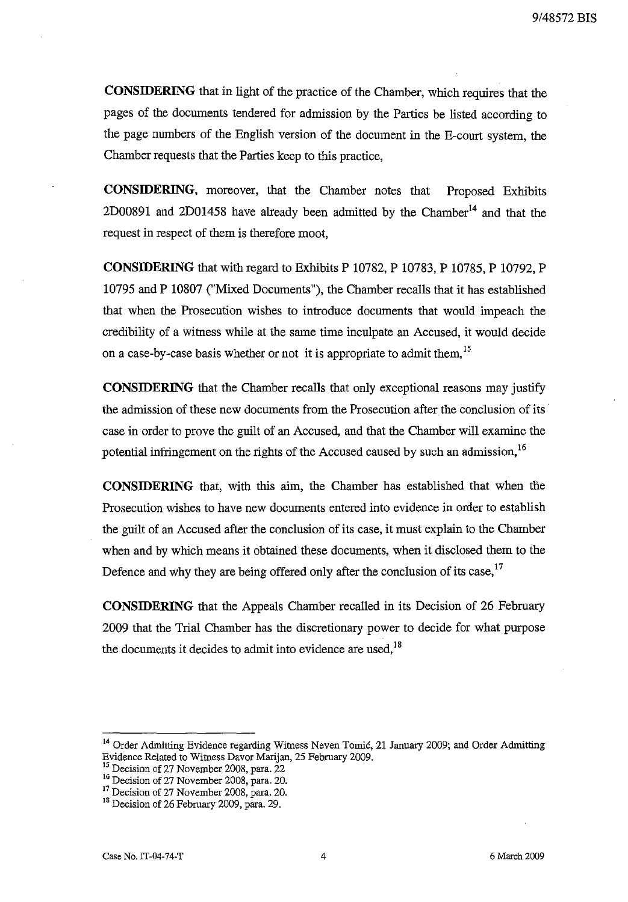**CONSIDERING** that in light of the practice of the Chamber, which requires that the pages of the documents tendered for admission by the Parties be listed according to the page numbers of the English version of the document in the E-court system, the Chamber requests that the Parties keep to this practice,

**CONSIDERING,** moreover, that the Chamber notes that Proposed Exhibits 2D00891 and 2D01458 have already been admitted by the Chamber<sup>14</sup> and that the request in respect of them is therefore moot,

**CONSIDERING** that with regard to Exhibits P 10782, P 10783, P 10785, P 10792, P 10795 and P 10807 ("Mixed Documents"), the Chamber recalls that it has established that when the Prosecution wishes to introduce documents that would impeach the credibility of a witness while at the same time inculpate an Accused, it would decide on a case-by-case basis whether or not it is appropriate to admit them, <sup>15</sup>.

**CONSIDERING** that the Chamber recalls that only exceptional reasons may justify the admission of these new documents from the Prosecution after the conclusion of its· case in order to prove the guilt of an Accused, and that the Chamber will exaruine the potential infringement on the rights of the Accused caused by such an admission,<sup>16</sup>

**CONSIDERING** that, with this aim, the Chamber has established that when the Prosecution wishes to have new documents entered into evidence in order to establish the guilt of an Accused after the conclusion of its case, it must explain to the Chamber when and by which means it obtained these documents, when it disclosed them to the Defence and why they are being offered only after the conclusion of its case,  $17$ 

**CONSIDERING** that the Appeals Chamber recalled in its Decision of 26 February 2009 that the Trial Chamber has the discretionary power to decide for what purpose the documents it decides to admit into evidence are used,  $18$ 

<sup>&</sup>lt;sup>14</sup> Order Admitting Evidence regarding Witness Neven Tomić, 21 January 2009; and Order Admitting Evidence Related to Witness Davor Marijan, 25 February 2009.

<sup>&</sup>lt;sup>15</sup> Decision of 27 November 2008, para. 22

<sup>&</sup>lt;sup>16</sup> Decision of 27 November 2008, para. 20.

<sup>&</sup>lt;sup>1</sup> Decision of 27 November 2008, para. 20.

<sup>&</sup>lt;sup>18</sup> Decision of 26 February 2009, para. 29.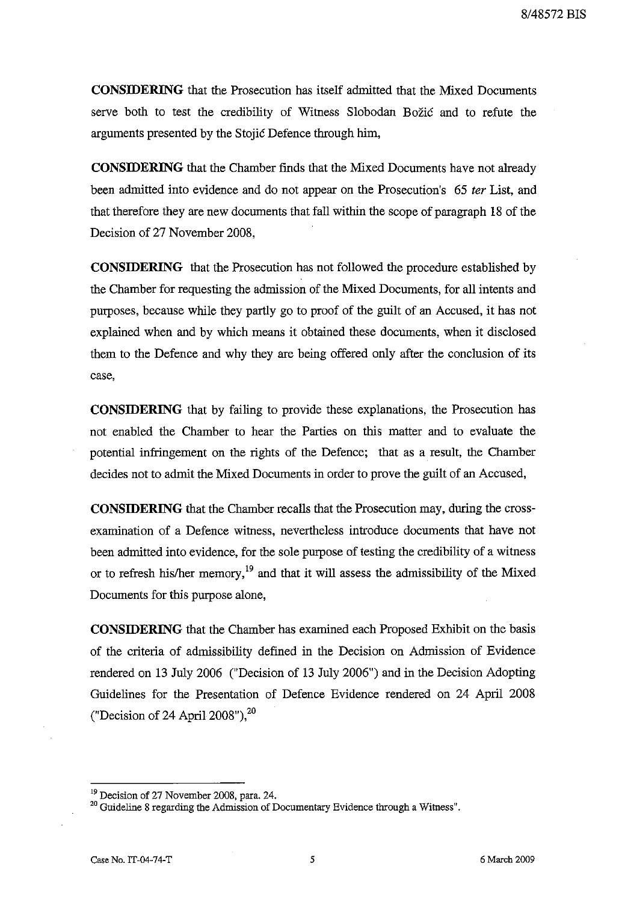**CONSIDERING** that the Prosecution has itself admitted that the Mixed Documents serve both to test the credibility of Witness Slobodan Božić and to refute the arguments presented by the Stojić Defence through him,

**CONSIDERING** that the Chamber finds that the Mixed Documents have not already been admitted into evidence and do not appear on the Prosecution's 65 *ter* List, and that therefore they are new documents that fall within the scope of paragraph 18 of the Decision of 27 November 2008,

**CONSIDERING** that the Prosecution has not followed the procedure established by the Chamber for requesting the admission of the Mixed Documents, for all intents and purposes, because while they partly go to proof of the guilt of an Accused, it has not explained when and by which means it obtained these documents, when it disclosed them to the Defence and why they are being offered only after the conclusion of its **case,** 

**CONSIDERING** that by failing to provide these explanations, the Prosecution has not enabled the Chamber to hear the Parties on this matter and to evaluate the potential infringement on the rights of the Defence; that as a result, the Chamber decides not to admit the Mixed Documents in order to prove the guilt of an Accused,

**CONSIDERING** that the Chamber recalls that the Prosecution may, during the crossexamination of a Defence witness, nevertheless introduce documents that have not been admitted into evidence, for the sole purpose of testing the credibility of a witness or to refresh his/her memory,<sup>19</sup> and that it will assess the admissibility of the Mixed Documents for this purpose alone,

**CONSIDERING** that the Chamber has examined each Proposed Exhibit on the basis of the criteria of admissibility defined in the Decision on Admission of Evidence rendered on 13 July 2006 ("Decision of 13 July 2006") and in the Decision Adopting Guidelines for the Presentation of Defence Evidence rendered on 24 April 2008 ("Decision of 24 April 2008"), $^{20}$ 

<sup>&</sup>lt;sup>19</sup> Decision of 27 November 2008, para. 24.

<sup>&</sup>lt;sup>20</sup> Guideline 8 regarding the Admission of Documentary Evidence through a Witness".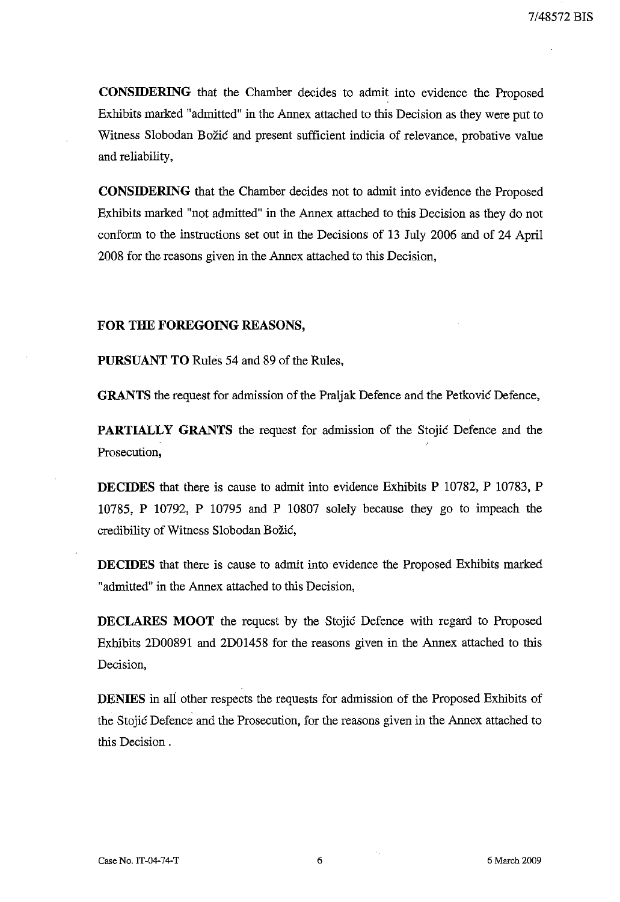**CONSIDERING** that the Chamber decides to admit into evidence the Proposed Exhibits marked "admitted" in the Annex attached to this Decision as they were put to Witness Slobodan Božić and present sufficient indicia of relevance, probative value and reliability,

**CONSIDERING** that the Chamber decides not to admit into evidence the Proposed Exhibits marked "not admitted" in the Annex attached to this Decision as they do not conform to the instructions set out in the Decisions of 13 July 2006 and of 24 April 2008 for the reasons given in the Annex attached to this Decision,

#### **FOR THE FOREGOING REASONS,**

**PURSUANT TO** Rules 54 and 89 of the Rules,

**GRANTS** the request for admission of the Praljak Defence and the Petković Defence,

**PARTIALLY GRANTS** the request for admission of the Stojić Defence and the Prosecution,

**DECIDES** that there is cause to admit into evidence Exhibits P 10782, P 10783, P 10785, P 10792, P 10795 and P 10807 solely because they go to impeach the credibility of Witness Slobodan Božić,

**DECIDES** that there is cause to admit into evidence the Proposed Exhibits marked "admitted" in the Annex attached to this Decision,

**DECLARES MOOT** the request by the Stojić Defence with regard to Proposed Exhibits 2D00891 and 2DOl458 for the reasons given in the Annex attached to this Decision,

**DENIES** in all other respects the requests for admission of the Proposed Exhibits of the Stojić Defence and the Prosecution, for the reasons given in the Annex attached to this Decision.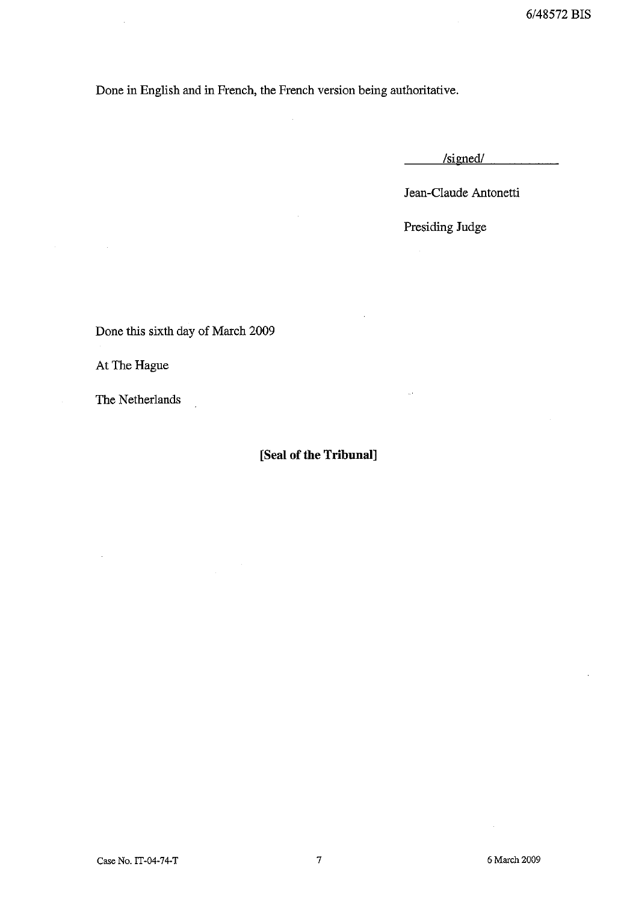Done in English and in French, the French version being authoritative.

/signed/

Jean-Claude Antonetti

Presiding Judge

 $\bar{z}$ 

Done this sixth day of March 2009

 $\sim$   $\mu$ 

At The Hague

The Netherlands

# **[Seal of the Tribunal]**

Case No. IT-04-74-T 7

6 March 2009

 $\bar{\beta}$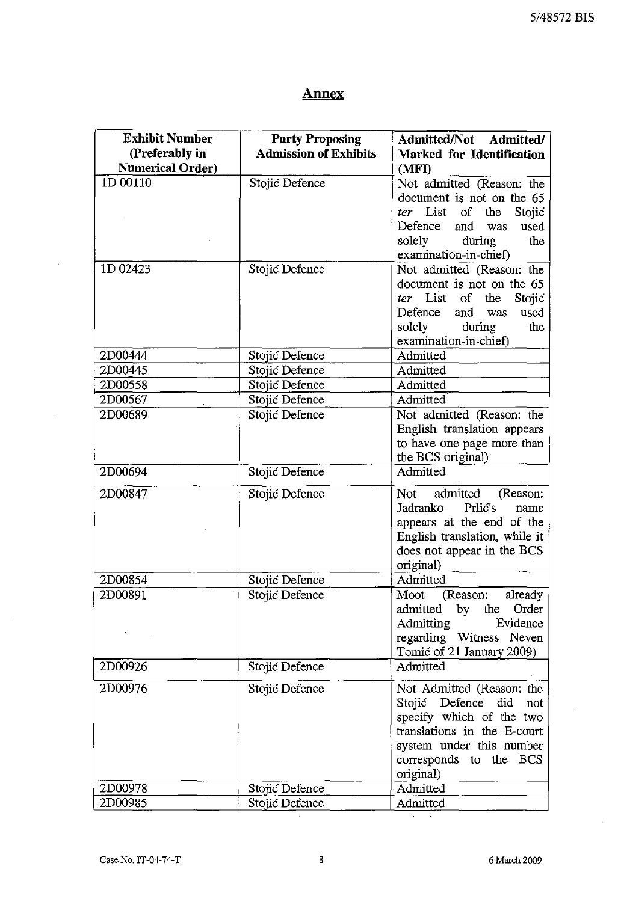# **Annex**

| <b>Exhibit Number</b>   | <b>Party Proposing</b>           | Admitted/Not Admitted/                                   |
|-------------------------|----------------------------------|----------------------------------------------------------|
| (Preferably in          | <b>Admission of Exhibits</b>     | Marked for Identification                                |
| <b>Numerical Order)</b> |                                  | (MFI)                                                    |
| 1D 00110                | Stojić Defence                   | Not admitted (Reason: the                                |
|                         |                                  | document is not on the 65                                |
|                         |                                  | ter List<br>$\circ$ f<br>the<br>Stojić                   |
|                         |                                  | Defence<br>and<br>was<br>used                            |
|                         |                                  | solely<br>during<br>the                                  |
|                         |                                  | examination-in-chief)                                    |
| 1D 02423                | Stojić Defence                   | Not admitted (Reason: the                                |
|                         |                                  | document is not on the 65                                |
|                         |                                  | ter List<br>of<br>the<br>Stojić                          |
|                         |                                  | Defence<br>and<br>used<br>was                            |
|                         |                                  | solely<br>during<br>the<br>examination-in-chief)         |
| 2D00444                 |                                  | Admitted                                                 |
| 2D00445                 | Stojić Defence<br>Stojić Defence | Admitted                                                 |
| 2D00558                 | Stojić Defence                   | Admitted                                                 |
| 2D00567                 | Stojić Defence                   | Admitted                                                 |
| 2D00689                 | Stojić Defence                   |                                                          |
|                         |                                  | Not admitted (Reason: the<br>English translation appears |
|                         |                                  | to have one page more than                               |
|                         |                                  | the BCS original)                                        |
| 2D00694                 | Stojić Defence                   | Admitted                                                 |
|                         |                                  |                                                          |
| 2D00847                 | Stojić Defence                   | admitted<br>Not<br>(Reason:                              |
|                         |                                  | Prlic's<br>Jadranko<br>name                              |
|                         |                                  | appears at the end of the                                |
|                         |                                  | English translation, while it                            |
|                         |                                  | does not appear in the BCS<br>original)                  |
| 2D00854                 |                                  | Admitted                                                 |
| 2D00891                 | Stojić Defence<br>Stojić Defence | Moot<br>(Reason:<br>already                              |
|                         |                                  | admitted by the Order                                    |
|                         |                                  | Admitting<br>Evidence                                    |
|                         |                                  | regarding Witness Neven                                  |
|                         |                                  | Tomić of 21 January 2009)                                |
| 2D00926                 | Stojić Defence                   | Admitted                                                 |
|                         |                                  |                                                          |
| 2D00976                 | Stojić Defence                   | Not Admitted (Reason: the                                |
|                         |                                  | Stojić Defence did<br>not                                |
|                         |                                  | specify which of the two                                 |
|                         |                                  | translations in the E-court                              |
|                         |                                  | system under this number                                 |
|                         |                                  | corresponds to the BCS                                   |
|                         |                                  | original)                                                |
| 2D00978                 | Stojić Defence                   | Admitted                                                 |
| 2D00985                 | Stojić Defence                   | Admitted                                                 |

 $\mathbb{Q}$ 

 $\hat{\boldsymbol{\gamma}}$ 

 $\hat{\boldsymbol{\theta}}$ 

 $\boldsymbol{\cdot}$ 

ł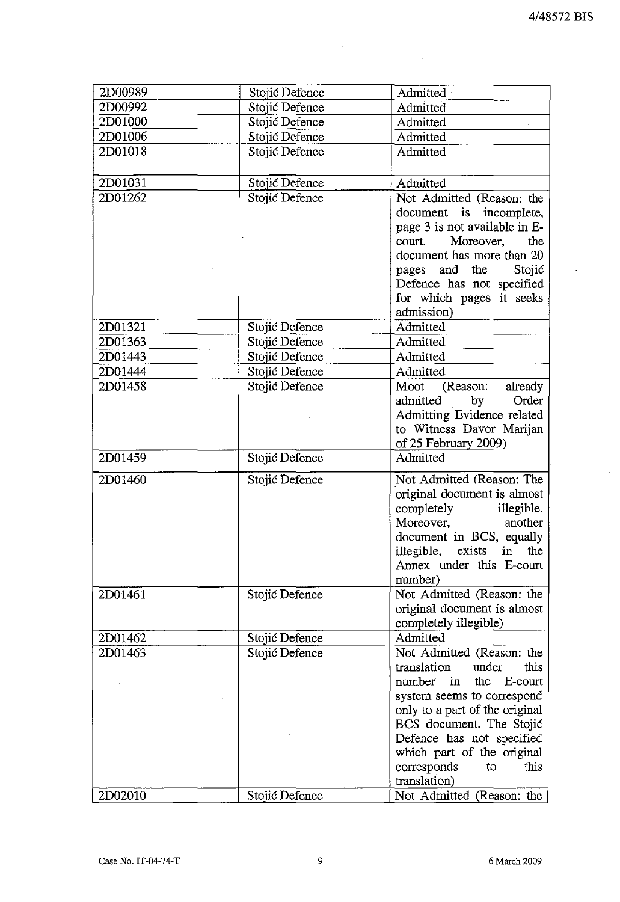t,

 $\hat{\mathcal{L}}$ 

| 2D00989 | Stojić Defence | Admitted                                                |  |
|---------|----------------|---------------------------------------------------------|--|
| 2D00992 | Stojić Defence | Admitted                                                |  |
| 2D01000 | Stojić Defence | Admitted                                                |  |
| 2D01006 | Stojić Defence | Admitted                                                |  |
| 2D01018 | Stojić Defence | Admitted                                                |  |
|         |                |                                                         |  |
| 2D01031 | Stojić Defence | Admitted                                                |  |
| 2D01262 | Stojić Defence | Not Admitted (Reason: the                               |  |
|         |                | document is incomplete,                                 |  |
|         |                | page 3 is not available in E-                           |  |
|         |                | Moreover,<br>the<br>court.                              |  |
|         |                | document has more than 20                               |  |
|         |                | pages and the Stojić                                    |  |
|         |                | Defence has not specified                               |  |
|         |                | for which pages it seeks                                |  |
|         |                | admission)                                              |  |
| 2D01321 | Stojić Defence | Admitted                                                |  |
| 2D01363 | Stojić Defence | Admitted                                                |  |
| 2D01443 | Stojić Defence | Admitted                                                |  |
| 2D01444 | Stojić Defence | Admitted                                                |  |
| 2D01458 | Stojić Defence | Moot<br>(Reason:<br>already                             |  |
|         |                | by<br>Order<br>admitted                                 |  |
|         |                | Admitting Evidence related                              |  |
|         |                | to Witness Davor Marijan                                |  |
|         |                | of 25 February 2009)                                    |  |
| 2D01459 | Stojić Defence | Admitted                                                |  |
| 2D01460 | Stojić Defence | Not Admitted (Reason: The                               |  |
|         |                | original document is almost                             |  |
|         |                | completely<br>illegible.                                |  |
|         |                | Moreover,<br>another                                    |  |
|         |                | document in BCS, equally                                |  |
|         |                | illegible, exists in the                                |  |
|         |                | Annex under this E-court                                |  |
|         |                | number)                                                 |  |
| 2D01461 | Stojić Defence | Not Admitted (Reason: the                               |  |
|         |                | original document is almost                             |  |
|         |                | completely illegible)                                   |  |
| 2D01462 | Stojić Defence | Admitted                                                |  |
| 2D01463 | Stojić Defence | Not Admitted (Reason: the                               |  |
|         |                | translation<br>under<br>this                            |  |
|         |                | the<br>number<br>E-court<br>in                          |  |
|         |                | system seems to correspond                              |  |
|         |                | only to a part of the original                          |  |
|         |                | BCS document. The Stojić                                |  |
|         |                | Defence has not specified<br>which part of the original |  |
|         |                | corresponds<br>to<br>this                               |  |
|         |                | translation)                                            |  |
|         |                |                                                         |  |
| 2D02010 | Stojić Defence | Not Admitted (Reason: the                               |  |

i,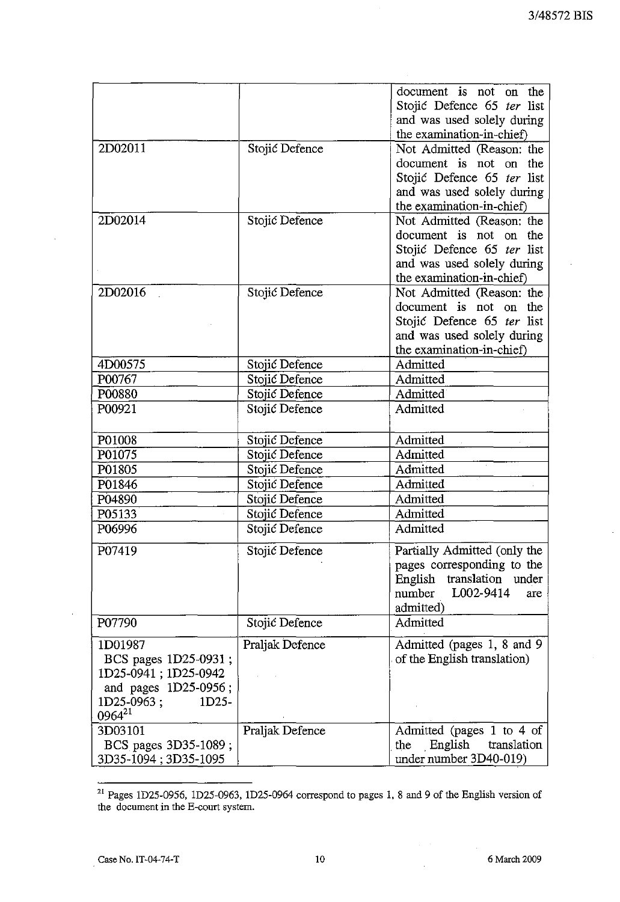|                      |                 | document is not on the       |
|----------------------|-----------------|------------------------------|
|                      |                 |                              |
|                      |                 | Stojić Defence 65 ter list   |
|                      |                 | and was used solely during   |
|                      |                 | the examination-in-chief)    |
| 2D02011              | Stojić Defence  | Not Admitted (Reason: the    |
|                      |                 | document is not on<br>the    |
|                      |                 | Stojić Defence 65 ter list   |
|                      |                 | and was used solely during   |
|                      |                 | the examination-in-chief)    |
| 2D02014              | Stojić Defence  | Not Admitted (Reason: the    |
|                      |                 | document is not on<br>the    |
|                      |                 | Stojić Defence 65 ter list   |
|                      |                 | and was used solely during   |
|                      |                 | the examination-in-chief)    |
| 2D02016              | Stojić Defence  | Not Admitted (Reason: the    |
|                      |                 | document is not on<br>the    |
|                      |                 | Stojić Defence 65 ter list   |
|                      |                 | and was used solely during   |
|                      |                 | the examination-in-chief)    |
| 4D00575              | Stojić Defence  | Admitted                     |
| P00767               | Stojić Defence  | Admitted                     |
| P00880               | Stojić Defence  | Admitted                     |
| P00921               | Stojić Defence  | Admitted                     |
|                      |                 |                              |
| P01008               | Stojić Defence  | Admitted                     |
| P01075               | Stojić Defence  | Admitted                     |
| P01805               | Stojić Defence  | Admitted                     |
| P01846               | Stojić Defence  | Admitted                     |
| P04890               | Stojić Defence  | Admitted                     |
| P05133               | Stojić Defence  | Admitted                     |
| P06996               |                 | Admitted                     |
|                      | Stojić Defence  |                              |
| P07419               | Stojić Defence  | Partially Admitted (only the |
|                      |                 | pages corresponding to the   |
|                      |                 | English<br>translation under |
|                      |                 | L002-9414<br>number<br>are   |
|                      |                 | admitted)                    |
| P07790               | Stojić Defence  | Admitted                     |
| 1D01987              | Praljak Defence | Admitted (pages 1, 8 and 9   |
| BCS pages 1D25-0931; |                 | of the English translation)  |
| 1D25-0941; 1D25-0942 |                 |                              |
| and pages 1D25-0956; |                 |                              |
| 1D25-0963;<br>1D25-  |                 |                              |
| 0964 <sup>21</sup>   |                 |                              |
|                      |                 |                              |
| 3D03101              | Praljak Defence | Admitted (pages 1 to 4 of    |
| BCS pages 3D35-1089; |                 | the English<br>translation   |
| 3D35-1094; 3D35-1095 |                 | under number 3D40-019)       |

<sup>&</sup>lt;sup>21</sup> Pages 1D25-0956, 1D25-0963, 1D25-0964 correspond to pages 1, 8 and 9 of the English version of the document in the E-court system.

 $\varphi\in\mathcal{A}$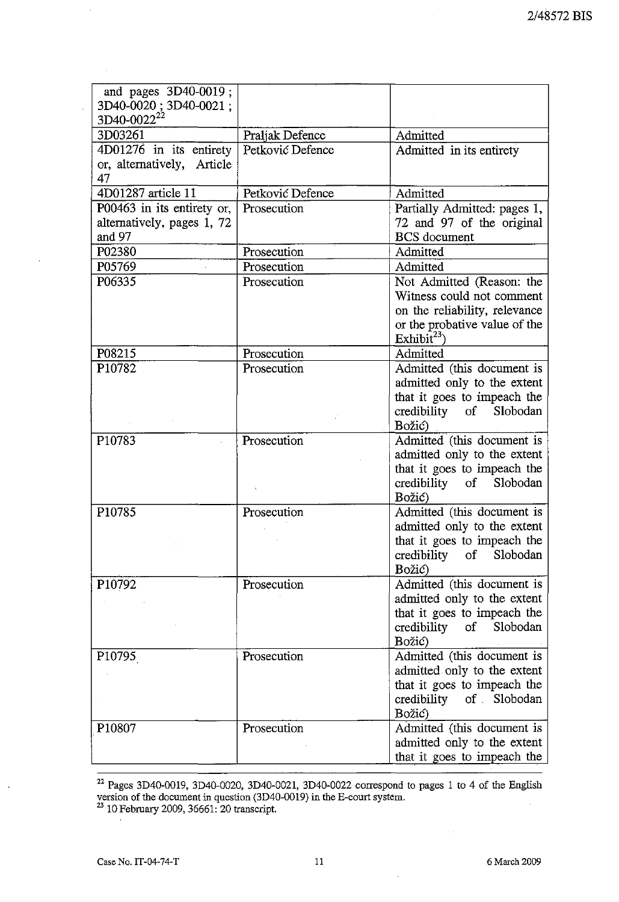| and pages 3D40-0019;<br>3D40-0020; 3D40-0021;<br>3D40-0022 <sup>22</sup> |                  |                                                                                                                                                     |
|--------------------------------------------------------------------------|------------------|-----------------------------------------------------------------------------------------------------------------------------------------------------|
| 3D03261                                                                  | Praljak Defence  | Admitted                                                                                                                                            |
| $4D01276$ in its entirety<br>or, alternatively, Article<br>47            | Petković Defence | Admitted in its entirety                                                                                                                            |
| 4D01287 article 11                                                       | Petković Defence | Admitted                                                                                                                                            |
| P00463 in its entirety or,<br>alternatively, pages 1, 72<br>and 97       | Prosecution      | Partially Admitted: pages 1,<br>72 and 97 of the original<br><b>BCS</b> document                                                                    |
| P02380                                                                   | Prosecution      | Admitted                                                                                                                                            |
| P05769                                                                   | Prosecution      | Admitted                                                                                                                                            |
| P06335                                                                   | Prosecution      | Not Admitted (Reason: the<br>Witness could not comment<br>on the reliability, relevance<br>or the probative value of the<br>Exhibit <sup>23</sup> ) |
| P08215                                                                   | Prosecution      | Admitted                                                                                                                                            |
| P <sub>10782</sub>                                                       | Prosecution      | Admitted (this document is<br>admitted only to the extent<br>that it goes to impeach the<br>credibility of<br>Slobodan<br>Božić)                    |
| P10783                                                                   | Prosecution      | Admitted (this document is<br>admitted only to the extent<br>that it goes to impeach the<br>credibility of Slobodan<br>Božić)                       |
| P10785                                                                   | Prosecution      | Admitted (this document is<br>admitted only to the extent<br>that it goes to impeach the<br>credibility of Slobodan<br>Božić)                       |
| P10792                                                                   | Prosecution      | Admitted (this document is<br>admitted only to the extent<br>that it goes to impeach the<br>credibility of Slobodan<br>Božić)                       |
| P10795                                                                   | Prosecution      | Admitted (this document is<br>admitted only to the extent<br>that it goes to impeach the<br>credibility of Slobodan<br>Božić)                       |
| P10807                                                                   | Prosecution      | Admitted (this document is<br>admitted only to the extent<br>that it goes to impeach the                                                            |

 $^{22}$  Pages 3D40-0019, 3D40-0020, 3D40-0021, 3D40-0022 correspond to pages 1 to 4 of the English version of the document in question (3D40-0019) in the E-court system.

<sup>23</sup> 10 February 2009, 36661: 20 transcript.

l,

 $\bar{z}$ 

 $\bar{\phantom{a}}$ 

 $\cdot$